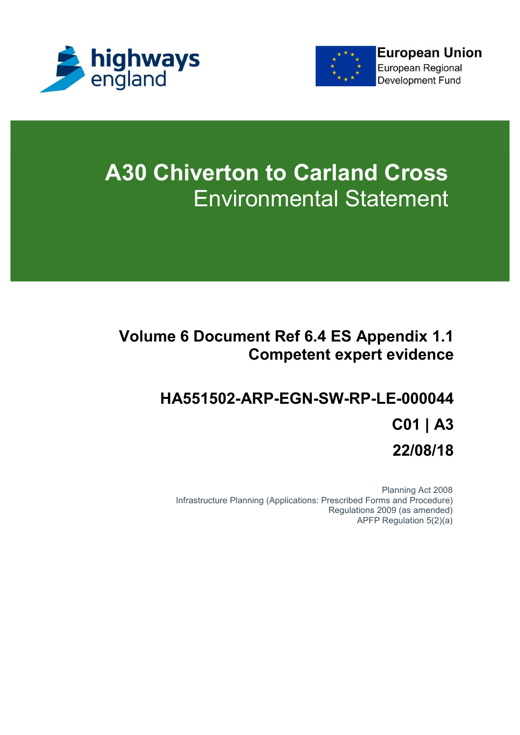

**European Union** 

European Regional **Development Fund** 



# **A30 Chiverton to Carland Cross** Environmental Statement

# **Volume 6 Document Ref 6.4 ES Appendix 1.1 Competent expert evidence**

# **HA551502-ARP-EGN-SW-RP-LE-000044 C01 | A3 22/08/18**

Planning Act 2008 Infrastructure Planning (Applications: Prescribed Forms and Procedure) Regulations 2009 (as amended) APFP Regulation 5(2)(a)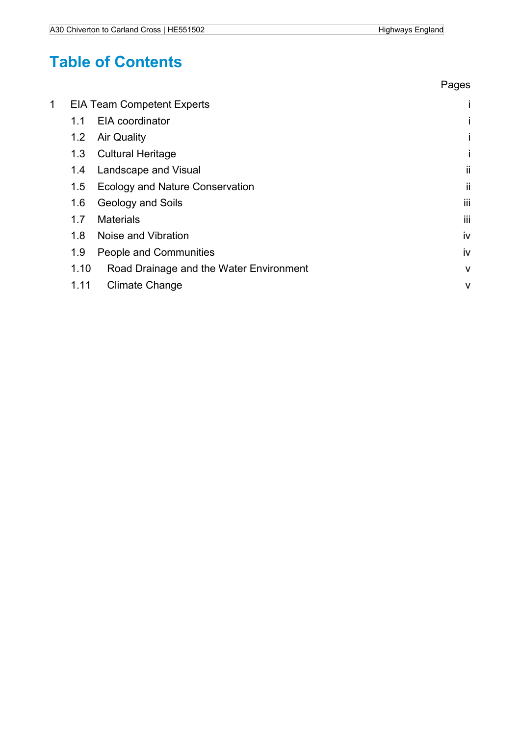Pages

# **Table of Contents**

| 1 | <b>EIA Team Competent Experts</b> |                                         |     |
|---|-----------------------------------|-----------------------------------------|-----|
|   | 1.1                               | EIA coordinator                         |     |
|   | 1.2                               | <b>Air Quality</b>                      |     |
|   | 1.3                               | <b>Cultural Heritage</b>                | I   |
|   | 1.4                               | Landscape and Visual                    | ij  |
|   | 1.5                               | <b>Ecology and Nature Conservation</b>  | ij  |
|   | 1.6                               | <b>Geology and Soils</b>                | iii |
|   | 1.7                               | <b>Materials</b>                        | iii |
|   | 1.8                               | Noise and Vibration                     | iv  |
|   | 1.9                               | <b>People and Communities</b>           | iv  |
|   | 1.10                              | Road Drainage and the Water Environment | V   |
|   | 1.11                              | <b>Climate Change</b>                   | V   |
|   |                                   |                                         |     |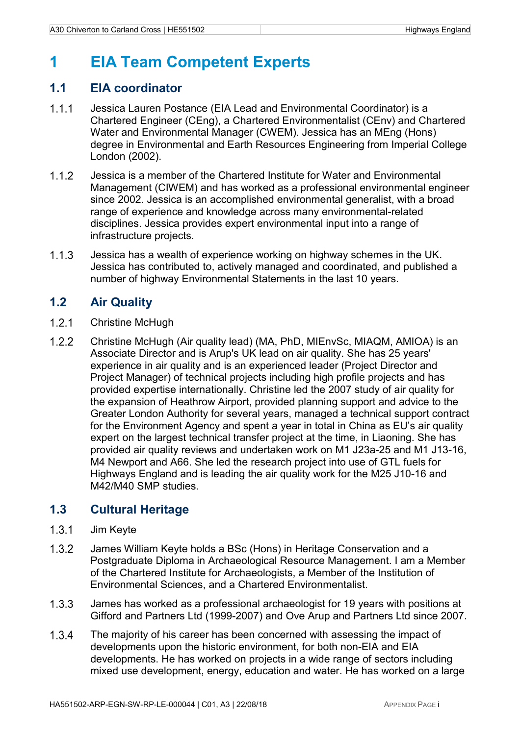## **1 EIA Team Competent Experts**

#### **1.1 EIA coordinator**

- 1.1.1 Jessica Lauren Postance (EIA Lead and Environmental Coordinator) is a Chartered Engineer (CEng), a Chartered Environmentalist (CEnv) and Chartered Water and Environmental Manager (CWEM). Jessica has an MEng (Hons) degree in Environmental and Earth Resources Engineering from Imperial College London (2002).
- 1.1.2 Jessica is a member of the Chartered Institute for Water and Environmental Management (CIWEM) and has worked as a professional environmental engineer since 2002. Jessica is an accomplished environmental generalist, with a broad range of experience and knowledge across many environmental-related disciplines. Jessica provides expert environmental input into a range of infrastructure projects.
- 1.1.3 Jessica has a wealth of experience working on highway schemes in the UK. Jessica has contributed to, actively managed and coordinated, and published a number of highway Environmental Statements in the last 10 years.

### **1.2 Air Quality**

- 1.2.1 Christine McHugh
- Christine McHugh (Air quality lead) (MA, PhD, MIEnvSc, MIAQM, AMIOA) is an Associate Director and is Arup's UK lead on air quality. She has 25 years' experience in air quality and is an experienced leader (Project Director and Project Manager) of technical projects including high profile projects and has provided expertise internationally. Christine led the 2007 study of air quality for the expansion of Heathrow Airport, provided planning support and advice to the Greater London Authority for several years, managed a technical support contract for the Environment Agency and spent a year in total in China as EU's air quality expert on the largest technical transfer project at the time, in Liaoning. She has provided air quality reviews and undertaken work on M1 J23a-25 and M1 J13-16, M4 Newport and A66. She led the research project into use of GTL fuels for Highways England and is leading the air quality work for the M25 J10-16 and M42/M40 SMP studies.

### **1.3 Cultural Heritage**

- 1.3.1 Jim Keyte
- James William Keyte holds a BSc (Hons) in Heritage Conservation and a Postgraduate Diploma in Archaeological Resource Management. I am a Member of the Chartered Institute for Archaeologists, a Member of the Institution of Environmental Sciences, and a Chartered Environmentalist.
- James has worked as a professional archaeologist for 19 years with positions at Gifford and Partners Ltd (1999-2007) and Ove Arup and Partners Ltd since 2007.
- 1.3.4 The majority of his career has been concerned with assessing the impact of developments upon the historic environment, for both non-EIA and EIA developments. He has worked on projects in a wide range of sectors including mixed use development, energy, education and water. He has worked on a large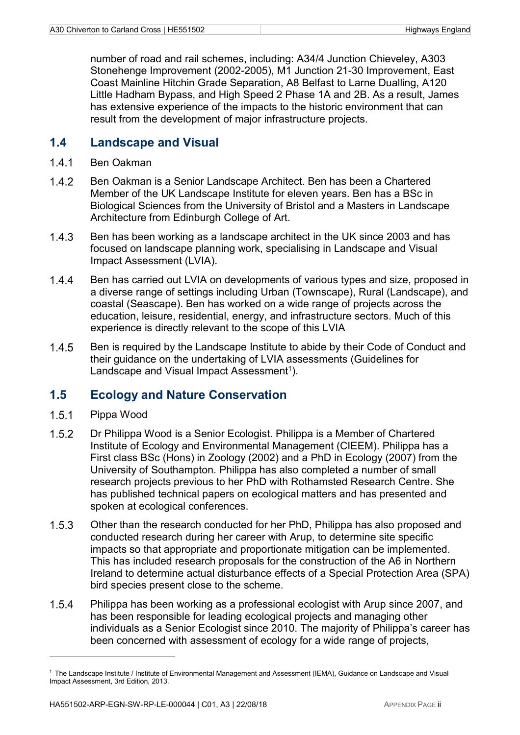number of road and rail schemes, including: A34/4 Junction Chieveley, A303 Stonehenge Improvement (2002-2005), M1 Junction 21-30 Improvement, East Coast Mainline Hitchin Grade Separation, A8 Belfast to Larne Dualling, A120 Little Hadham Bypass, and High Speed 2 Phase 1A and 2B. As a result, James has extensive experience of the impacts to the historic environment that can result from the development of major infrastructure projects.

#### **1.4 Landscape and Visual**

- 1.4.1 Ben Oakman
- 1.4.2 Ben Oakman is a Senior Landscape Architect. Ben has been a Chartered Member of the UK Landscape Institute for eleven years. Ben has a BSc in Biological Sciences from the University of Bristol and a Masters in Landscape Architecture from Edinburgh College of Art.
- 1.4.3 Ben has been working as a landscape architect in the UK since 2003 and has focused on landscape planning work, specialising in Landscape and Visual Impact Assessment (LVIA).
- 1.4.4 Ben has carried out LVIA on developments of various types and size, proposed in a diverse range of settings including Urban (Townscape), Rural (Landscape), and coastal (Seascape). Ben has worked on a wide range of projects across the education, leisure, residential, energy, and infrastructure sectors. Much of this experience is directly relevant to the scope of this LVIA
- 1.4.5 Ben is required by the Landscape Institute to abide by their Code of Conduct and their guidance on the undertaking of LVIA assessments (Guidelines for Landscape and Visual Impact Assessment<sup>1</sup>).

### **1.5 Ecology and Nature Conservation**

1.5.1 Pippa Wood

 $\overline{a}$ 

- Dr Philippa Wood is a Senior Ecologist. Philippa is a Member of Chartered Institute of Ecology and Environmental Management (CIEEM). Philippa has a First class BSc (Hons) in Zoology (2002) and a PhD in Ecology (2007) from the University of Southampton. Philippa has also completed a number of small research projects previous to her PhD with Rothamsted Research Centre. She has published technical papers on ecological matters and has presented and spoken at ecological conferences.
- Other than the research conducted for her PhD, Philippa has also proposed and conducted research during her career with Arup, to determine site specific impacts so that appropriate and proportionate mitigation can be implemented. This has included research proposals for the construction of the A6 in Northern Ireland to determine actual disturbance effects of a Special Protection Area (SPA) bird species present close to the scheme.
- Philippa has been working as a professional ecologist with Arup since 2007, and has been responsible for leading ecological projects and managing other individuals as a Senior Ecologist since 2010. The majority of Philippa's career has been concerned with assessment of ecology for a wide range of projects,

<sup>1</sup> The Landscape Institute / Institute of Environmental Management and Assessment (IEMA), Guidance on Landscape and Visual Impact Assessment, 3rd Edition, 2013.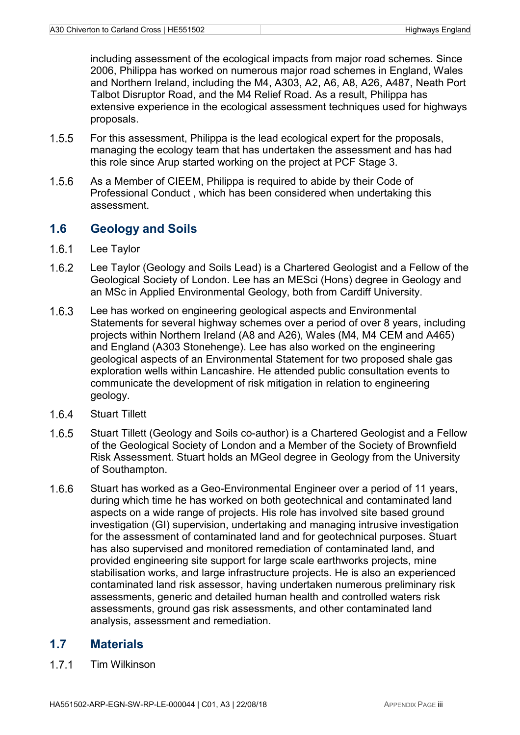including assessment of the ecological impacts from major road schemes. Since 2006, Philippa has worked on numerous major road schemes in England, Wales and Northern Ireland, including the M4, A303, A2, A6, A8, A26, A487, Neath Port Talbot Disruptor Road, and the M4 Relief Road. As a result, Philippa has extensive experience in the ecological assessment techniques used for highways proposals.

- $1.5.5$ For this assessment, Philippa is the lead ecological expert for the proposals, managing the ecology team that has undertaken the assessment and has had this role since Arup started working on the project at PCF Stage 3.
- $1.5.6$ As a Member of CIEEM, Philippa is required to abide by their Code of Professional Conduct , which has been considered when undertaking this assessment.

#### **1.6 Geology and Soils**

- $1.6.1$ Lee Taylor
- $1.6.2$ Lee Taylor (Geology and Soils Lead) is a Chartered Geologist and a Fellow of the Geological Society of London. Lee has an MESci (Hons) degree in Geology and an MSc in Applied Environmental Geology, both from Cardiff University.
- $1.6.3$ Lee has worked on engineering geological aspects and Environmental Statements for several highway schemes over a period of over 8 years, including projects within Northern Ireland (A8 and A26), Wales (M4, M4 CEM and A465) and England (A303 Stonehenge). Lee has also worked on the engineering geological aspects of an Environmental Statement for two proposed shale gas exploration wells within Lancashire. He attended public consultation events to communicate the development of risk mitigation in relation to engineering geology.
- $1.6.4$ Stuart Tillett
- $1.6.5$ Stuart Tillett (Geology and Soils co-author) is a Chartered Geologist and a Fellow of the Geological Society of London and a Member of the Society of Brownfield Risk Assessment. Stuart holds an MGeol degree in Geology from the University of Southampton.
- 1.6.6 Stuart has worked as a Geo-Environmental Engineer over a period of 11 years, during which time he has worked on both geotechnical and contaminated land aspects on a wide range of projects. His role has involved site based ground investigation (GI) supervision, undertaking and managing intrusive investigation for the assessment of contaminated land and for geotechnical purposes. Stuart has also supervised and monitored remediation of contaminated land, and provided engineering site support for large scale earthworks projects, mine stabilisation works, and large infrastructure projects. He is also an experienced contaminated land risk assessor, having undertaken numerous preliminary risk assessments, generic and detailed human health and controlled waters risk assessments, ground gas risk assessments, and other contaminated land analysis, assessment and remediation.

#### **1.7 Materials**

 $171$ Tim Wilkinson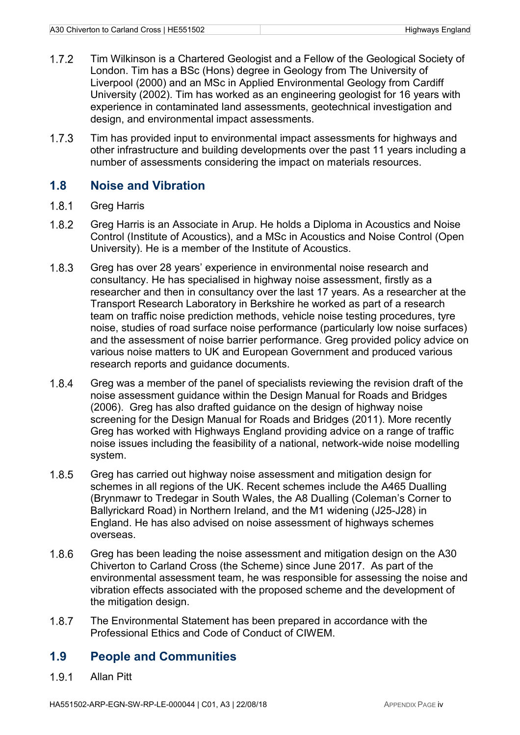- $1.7.2$ Tim Wilkinson is a Chartered Geologist and a Fellow of the Geological Society of London. Tim has a BSc (Hons) degree in Geology from The University of Liverpool (2000) and an MSc in Applied Environmental Geology from Cardiff University (2002). Tim has worked as an engineering geologist for 16 years with experience in contaminated land assessments, geotechnical investigation and design, and environmental impact assessments.
- $1.7.3$ Tim has provided input to environmental impact assessments for highways and other infrastructure and building developments over the past 11 years including a number of assessments considering the impact on materials resources.

#### **1.8 Noise and Vibration**

- $1.8.1$ Greg Harris
- $1.8.2$ Greg Harris is an Associate in Arup. He holds a Diploma in Acoustics and Noise Control (Institute of Acoustics), and a MSc in Acoustics and Noise Control (Open University). He is a member of the Institute of Acoustics.
- $1.8.3$ Greg has over 28 years' experience in environmental noise research and consultancy. He has specialised in highway noise assessment, firstly as a researcher and then in consultancy over the last 17 years. As a researcher at the Transport Research Laboratory in Berkshire he worked as part of a research team on traffic noise prediction methods, vehicle noise testing procedures, tyre noise, studies of road surface noise performance (particularly low noise surfaces) and the assessment of noise barrier performance. Greg provided policy advice on various noise matters to UK and European Government and produced various research reports and guidance documents.
- Greg was a member of the panel of specialists reviewing the revision draft of the  $1.8.4$ noise assessment guidance within the Design Manual for Roads and Bridges (2006). Greg has also drafted guidance on the design of highway noise screening for the Design Manual for Roads and Bridges (2011). More recently Greg has worked with Highways England providing advice on a range of traffic noise issues including the feasibility of a national, network-wide noise modelling system.
- $1.8.5$ Greg has carried out highway noise assessment and mitigation design for schemes in all regions of the UK. Recent schemes include the A465 Dualling (Brynmawr to Tredegar in South Wales, the A8 Dualling (Coleman's Corner to Ballyrickard Road) in Northern Ireland, and the M1 widening (J25-J28) in England. He has also advised on noise assessment of highways schemes overseas.
- $1.8.6$ Greg has been leading the noise assessment and mitigation design on the A30 Chiverton to Carland Cross (the Scheme) since June 2017. As part of the environmental assessment team, he was responsible for assessing the noise and vibration effects associated with the proposed scheme and the development of the mitigation design.
- $1.8.7$ The Environmental Statement has been prepared in accordance with the Professional Ethics and Code of Conduct of CIWEM.

### **1.9 People and Communities**

 $1.9.1$ Allan Pitt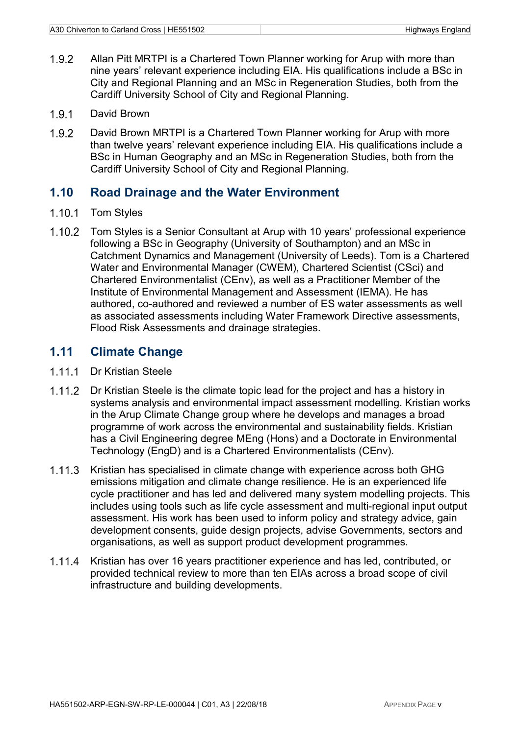- $1.9.2$ Allan Pitt MRTPI is a Chartered Town Planner working for Arup with more than nine years' relevant experience including EIA. His qualifications include a BSc in City and Regional Planning and an MSc in Regeneration Studies, both from the Cardiff University School of City and Regional Planning.
- $1.9.1$ David Brown
- $1.9.2$ David Brown MRTPI is a Chartered Town Planner working for Arup with more than twelve years' relevant experience including EIA. His qualifications include a BSc in Human Geography and an MSc in Regeneration Studies, both from the Cardiff University School of City and Regional Planning.

#### **1.10 Road Drainage and the Water Environment**

- $1.10.1$ Tom Styles
- Tom Styles is a Senior Consultant at Arup with 10 years' professional experience  $1.10.2$ following a BSc in Geography (University of Southampton) and an MSc in Catchment Dynamics and Management (University of Leeds). Tom is a Chartered Water and Environmental Manager (CWEM), Chartered Scientist (CSci) and Chartered Environmentalist (CEnv), as well as a Practitioner Member of the Institute of Environmental Management and Assessment (IEMA). He has authored, co-authored and reviewed a number of ES water assessments as well as associated assessments including Water Framework Directive assessments, Flood Risk Assessments and drainage strategies.

### **1.11 Climate Change**

- 1.11.1 Dr Kristian Steele
- $1.11.2$ Dr Kristian Steele is the climate topic lead for the project and has a history in systems analysis and environmental impact assessment modelling. Kristian works in the Arup Climate Change group where he develops and manages a broad programme of work across the environmental and sustainability fields. Kristian has a Civil Engineering degree MEng (Hons) and a Doctorate in Environmental Technology (EngD) and is a Chartered Environmentalists (CEnv).
- $1.11.3$ Kristian has specialised in climate change with experience across both GHG emissions mitigation and climate change resilience. He is an experienced life cycle practitioner and has led and delivered many system modelling projects. This includes using tools such as life cycle assessment and multi-regional input output assessment. His work has been used to inform policy and strategy advice, gain development consents, guide design projects, advise Governments, sectors and organisations, as well as support product development programmes.
- $1114$ Kristian has over 16 years practitioner experience and has led, contributed, or provided technical review to more than ten EIAs across a broad scope of civil infrastructure and building developments.